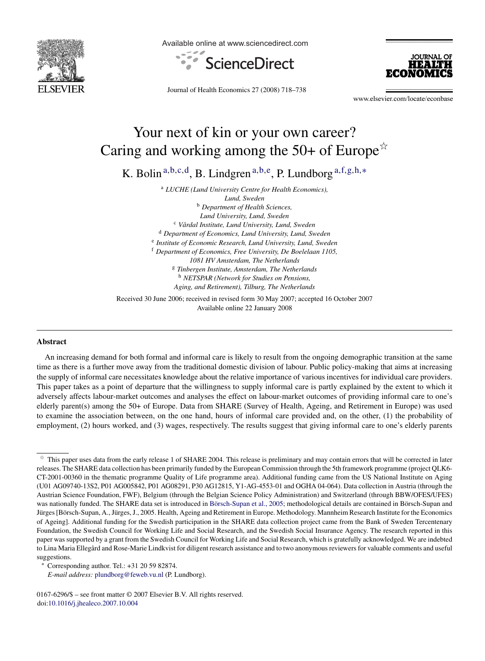

Available online at www.sciencedirect.com





Journal of Health Economics 27 (2008) 718–738

www.elsevier.com/locate/econbase

## Your next of kin or your own career? Caring and working among the 50+ of Europe $\dot{x}$

K. Bolin<sup>a,b,c,d</sup>, B. Lindgren<sup>a,b,e</sup>, P. Lundborg  $a, f, g, h, *$ 

<sup>a</sup> *LUCHE (Lund University Centre for Health Economics), Lund, Sweden* <sup>b</sup> *Department of Health Sciences, Lund University, Lund, Sweden* <sup>c</sup> *V ˚ardal Institute, Lund University, Lund, Sweden* <sup>d</sup> *Department of Economics, Lund University, Lund, Sweden* <sup>e</sup> *Institute of Economic Research, Lund University, Lund, Sweden* <sup>f</sup> *Department of Economics, Free University, De Boelelaan 1105, 1081 HV Amsterdam, The Netherlands* <sup>g</sup> *Tinbergen Institute, Amsterdam, The Netherlands* <sup>h</sup> *NETSPAR (Network for Studies on Pensions, Aging, and Retirement), Tilburg, The Netherlands*

Received 30 June 2006; received in revised form 30 May 2007; accepted 16 October 2007 Available online 22 January 2008

## **Abstract**

An increasing demand for both formal and informal care is likely to result from the ongoing demographic transition at the same time as there is a further move away from the traditional domestic division of labour. Public policy-making that aims at increasing the supply of informal care necessitates knowledge about the relative importance of various incentives for individual care providers. This paper takes as a point of departure that the willingness to supply informal care is partly explained by the extent to which it adversely affects labour-market outcomes and analyses the effect on labour-market outcomes of providing informal care to one's elderly parent(s) among the 50+ of Europe. Data from SHARE (Survey of Health, Ageing, and Retirement in Europe) was used to examine the association between, on the one hand, hours of informal care provided and, on the other, (1) the probability of employment, (2) hours worked, and (3) wages, respectively. The results suggest that giving informal care to one's elderly parents

 $\hat{\tau}$  This paper uses data from the early release 1 of SHARE 2004. This release is preliminary and may contain errors that will be corrected in later releases. The SHARE data collection has been primarily funded by the European Commission through the 5th framework programme (project QLK6- CT-2001-00360 in the thematic programme Quality of Life programme area). Additional funding came from the US National Institute on Aging (U01 AG09740-13S2, P01 AG005842, P01 AG08291, P30 AG12815, Y1-AG-4553-01 and OGHA 04-064). Data collection in Austria (through the Austrian Science Foundation, FWF), Belgium (through the Belgian Science Policy Administration) and Switzerland (through BBW/OFES/UFES) was nationally funded. The SHARE data set is introduced in Börsch-Supan et al., 2005; methodological details are contained in Börsch-Supan and Jürges [Börsch-Supan, A., Jürges, J., 2005. Health, Ageing and Retirement in Europe. Methodology. Mannheim Research Institute for the Economics of Ageing]. Additional funding for the Swedish participation in the SHARE data collection project came from the Bank of Sweden Tercentenary Foundation, the Swedish Council for Working Life and Social Research, and the Swedish Social Insurance Agency. The research reported in this paper was supported by a grant from the Swedish Council for Working Life and Social Research, which is gratefully acknowledged. We are indebted to Lina Maria Ellegård and Rose-Marie Lindkvist for diligent research assistance and to two anonymous reviewers for valuable comments and useful suggestions.

<sup>∗</sup> Corresponding author. Tel.: +31 20 59 82874.

*E-mail address:* [plundborg@feweb.vu.nl](mailto:plundborg@feweb.vu.nl) (P. Lundborg).

<sup>0167-6296/\$ –</sup> see front matter © 2007 Elsevier B.V. All rights reserved. doi[:10.1016/j.jhealeco.2007.10.004](dx.doi.org/10.1016/j.jhealeco.2007.10.004)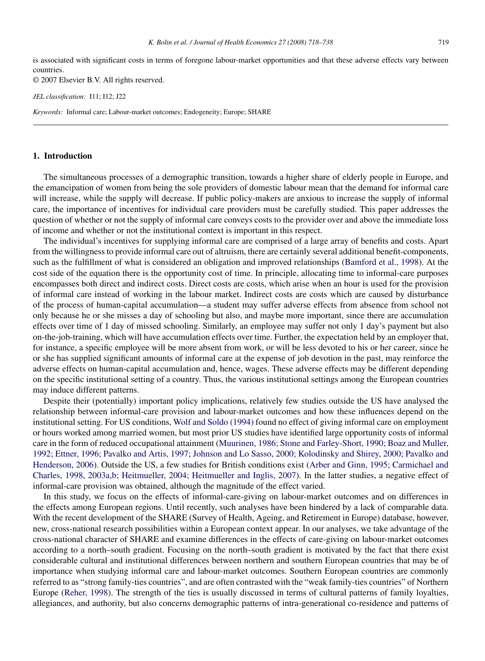is associated with significant costs in terms of foregone labour-market opportunities and that these adverse effects vary between countries.

© 2007 Elsevier B.V. All rights reserved.

*JEL classification:* I11; I12; J22

*Keywords:* Informal care; Labour-market outcomes; Endogeneity; Europe; SHARE

## **1. Introduction**

The simultaneous processes of a demographic transition, towards a higher share of elderly people in Europe, and the emancipation of women from being the sole providers of domestic labour mean that the demand for informal care will increase, while the supply will decrease. If public policy-makers are anxious to increase the supply of informal care, the importance of incentives for individual care providers must be carefully studied. This paper addresses the question of whether or not the supply of informal care conveys costs to the provider over and above the immediate loss of income and whether or not the institutional context is important in this respect.

The individual's incentives for supplying informal care are comprised of a large array of benefits and costs. Apart from the willingness to provide informal care out of altruism, there are certainly several additional benefit-components, such as the fulfillment of what is considered an obligation and improved relationships ([Bamford et al., 1998\).](#page--1-0) At the cost side of the equation there is the opportunity cost of time. In principle, allocating time to informal-care purposes encompasses both direct and indirect costs. Direct costs are costs, which arise when an hour is used for the provision of informal care instead of working in the labour market. Indirect costs are costs which are caused by disturbance of the process of human-capital accumulation—a student may suffer adverse effects from absence from school not only because he or she misses a day of schooling but also, and maybe more important, since there are accumulation effects over time of 1 day of missed schooling. Similarly, an employee may suffer not only 1 day's payment but also on-the-job-training, which will have accumulation effects over time. Further, the expectation held by an employer that, for instance, a specific employee will be more absent from work, or will be less devoted to his or her career, since he or she has supplied significant amounts of informal care at the expense of job devotion in the past, may reinforce the adverse effects on human-capital accumulation and, hence, wages. These adverse effects may be different depending on the specific institutional setting of a country. Thus, the various institutional settings among the European countries may induce different patterns.

Despite their (potentially) important policy implications, relatively few studies outside the US have analysed the relationship between informal-care provision and labour-market outcomes and how these influences depend on the institutional setting. For US conditions, [Wolf and Soldo \(1994\)](#page--1-0) found no effect of giving informal care on employment or hours worked among married women, but most prior US studies have identified large opportunity costs of informal care in the form of reduced occupational attainment ([Muurinen, 1986; Stone and Farley-Short, 1990; Boaz and Muller,](#page--1-0) [1992; Ettner, 1996; Pavalko and Artis, 1997; Johnson and Lo Sasso, 2000; Kolodinsky and Shirey, 2000; Pavalko and](#page--1-0) [Henderson, 2006\).](#page--1-0) Outside the US, a few studies for British conditions exist [\(Arber and Ginn, 1995; Carmichael and](#page--1-0) [Charles, 1998, 2003a,b; Heitmueller, 2004; Heitmueller and Inglis, 2007\).](#page--1-0) In the latter studies, a negative effect of informal-care provision was obtained, although the magnitude of the effect varied.

In this study, we focus on the effects of informal-care-giving on labour-market outcomes and on differences in the effects among European regions. Until recently, such analyses have been hindered by a lack of comparable data. With the recent development of the SHARE (Survey of Health, Ageing, and Retirement in Europe) database, however, new, cross-national research possibilities within a European context appear. In our analyses, we take advantage of the cross-national character of SHARE and examine differences in the effects of care-giving on labour-market outcomes according to a north–south gradient. Focusing on the north–south gradient is motivated by the fact that there exist considerable cultural and institutional differences between northern and southern European countries that may be of importance when studying informal care and labour-market outcomes. Southern European countries are commonly referred to as "strong family-ties countries", and are often contrasted with the "weak family-ties countries" of Northern Europe [\(Reher, 1998\).](#page--1-0) The strength of the ties is usually discussed in terms of cultural patterns of family loyalties, allegiances, and authority, but also concerns demographic patterns of intra-generational co-residence and patterns of